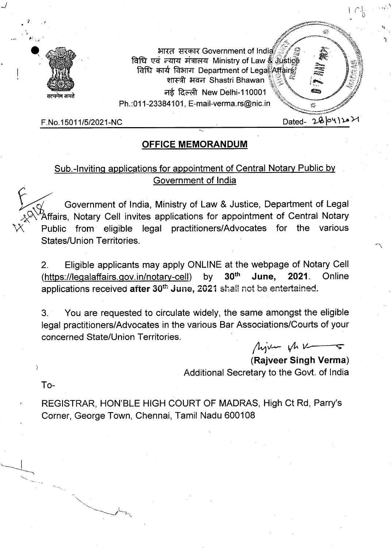

भारत सरकार Government of India विधि एवं न्याय मंत्रालय Ministry of Law & Justice .4114 falTraT Department of LegaOffairS1 **A irt•** Shastri Bhawan नई दिल्ली New Delhi-110001 Ph.:011-23384101, E-mail-verma.rs@nic.in

 $F.No.15011/5/2021-NC$  Dated-  $2\& 0\nu_1\&10\nu_2\&11.6\nu_1\&10\nu_2\&11.6\nu_1\&10\nu_2\&11.6\nu_1\&10.6\nu_2\&11.6\nu_2\&10.6\nu_1\&11.6\nu_2\&10.6\nu_1\&11.6\nu_2\&10.6\nu_1\&11.6\nu_2\&10.6\nu_1\&11.$ 

## **OFFICE MEMORANDUM**

## Sub.-Inviting applications for appointment of Central Notary Public by Government of India

Government of India, Ministry of Law & Justice, Department of Legal 'Affairs, Notary Cell invites applications for appointment of Central Notary Public from eligible legal practitioners/Advocates for the various States/Union Territories.

Eligible applicants may apply ONLINE at the webpage of Notary Cell  $2<sub>1</sub>$ (https://legalaffairs.gov. in/notary-cell) by **30th June, 2021.** Online applications received **after** 30th June, 2021 shall not be entertained.

You are requested to circulate widely, the same amongst the eligible  $3<sub>1</sub>$ legal practitioners/Advocates in the various Bar Associations/Courts of your concerned State/Union Territories.

Min Vh V

**(Rajveer Singh Verma)**  Additional Secretary to the Govt. of India

To-

REGISTRAR, HON'BLE HIGH COURT OF MADRAS, High Ct Rd, Parry's Corner, George Town, Chennai, Tamil Nadu 600108